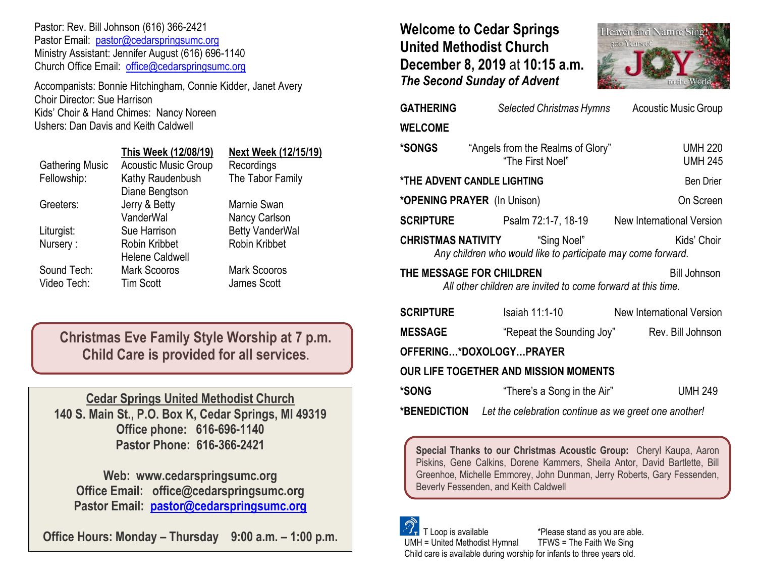Pastor: Rev. Bill Johnson (616) 366-2421 Pastor Email: [pastor@cedarspringsumc.org](mailto:pastor@cedarspringsumc.org) Ministry Assistant: Jennifer August (616) 696-1140 Church Office Email: [office@cedarspringsumc.org](mailto:office@cedarspringsumc.org)

Accompanists: Bonnie Hitchingham, Connie Kidder, Janet Avery Choir Director: Sue Harrison Kids' Choir & Hand Chimes: Nancy Noreen Ushers: Dan Davis and Keith Caldwell

|                        | This Week (12/08/19)                    | Next Week (12/15/19)                |
|------------------------|-----------------------------------------|-------------------------------------|
| <b>Gathering Music</b> | <b>Acoustic Music Group</b>             | Recordings                          |
| Fellowship:            | Kathy Raudenbush<br>Diane Bengtson      | The Tabor Family                    |
| Greeters:              | Jerry & Betty<br>VanderWal              | Marnie Swan<br><b>Nancy Carlson</b> |
| Liturgist:             | Sue Harrison                            | <b>Betty VanderWal</b>              |
| Nursery:               | Robin Kribbet<br><b>Helene Caldwell</b> | Robin Kribbet                       |
| Sound Tech:            | <b>Mark Scooros</b>                     | <b>Mark Scooros</b>                 |
| Video Tech:            | <b>Tim Scott</b>                        | James Scott                         |

**Christmas Eve Family Style Worship at 7 p.m. Child Care is provided for all services.**

**Cedar Springs United Methodist Church 140 S. Main St., P.O. Box K, Cedar Springs, MI 49319 Office phone: 616-696-1140 Pastor Phone: 616-366-2421**

**Web: www.cedarspringsumc.org Office Email: office@cedarspringsumc.org Pastor Email: [pastor@cedarspringsumc.org](mailto:pastor@cedarspringsumc.org)**

**Office Hours: Monday – Thursday 9:00 a.m. – 1:00 p.m.**

**Welcome to Cedar Springs United Methodist Church December 8, 2019** at **10:15 a.m.**  *The Second Sunday of Advent*



| <b>GATHERING</b>                                                                                                     | Selected Christmas Hymns                              | <b>Acoustic Music Group</b>      |  |  |  |
|----------------------------------------------------------------------------------------------------------------------|-------------------------------------------------------|----------------------------------|--|--|--|
| <b>WELCOME</b>                                                                                                       |                                                       |                                  |  |  |  |
| *SONGS                                                                                                               | "Angels from the Realms of Glory"<br>"The First Noel" | <b>UMH 220</b><br><b>UMH 245</b> |  |  |  |
|                                                                                                                      | <b><i>*THE ADVENT CANDLE LIGHTING</i></b>             | <b>Ben Drier</b>                 |  |  |  |
|                                                                                                                      | * <b>OPENING PRAYER</b> (In Unison)                   | On Screen                        |  |  |  |
| <b>SCRIPTURE</b>                                                                                                     | Psalm 72:1-7, 18-19                                   | New International Version        |  |  |  |
| <b>CHRISTMAS NATIVITY</b> "Sing Noel"<br>Kids' Choir<br>Any children who would like to participate may come forward. |                                                       |                                  |  |  |  |
| THE MESSAGE FOR CHILDREN<br><b>Bill Johnson</b><br>All other children are invited to come forward at this time.      |                                                       |                                  |  |  |  |
| <b>SCRIPTURE</b>                                                                                                     | <b>Isaiah 11:1-10</b>                                 | New International Version        |  |  |  |
| <b>MESSAGE</b>                                                                                                       | "Repeat the Sounding Joy"                             | Rev. Bill Johnson                |  |  |  |
| OFFERING*DOXOLOGYPRAYER                                                                                              |                                                       |                                  |  |  |  |
| <b>OUR LIFE TOGETHER AND MISSION MOMENTS</b>                                                                         |                                                       |                                  |  |  |  |
| *SONG                                                                                                                | "There's a Song in the Air"                           | <b>UMH 249</b>                   |  |  |  |
|                                                                                                                      |                                                       |                                  |  |  |  |

**\*BENEDICTION** *Let the celebration continue as we greet one another!*

**Special Thanks to our Christmas Acoustic Group:** Cheryl Kaupa, Aaron Piskins, Gene Calkins, Dorene Kammers, Sheila Antor, David Bartlette, Bill Greenhoe, Michelle Emmorey, John Dunman, Jerry Roberts, Gary Fessenden, Beverly Fessenden, and Keith Caldwell

 T Loop is available \*Please stand as you are able. UMH = United Methodist Hymnal TFWS = The Faith We Sing Child care is available during worship for infants to three years old.